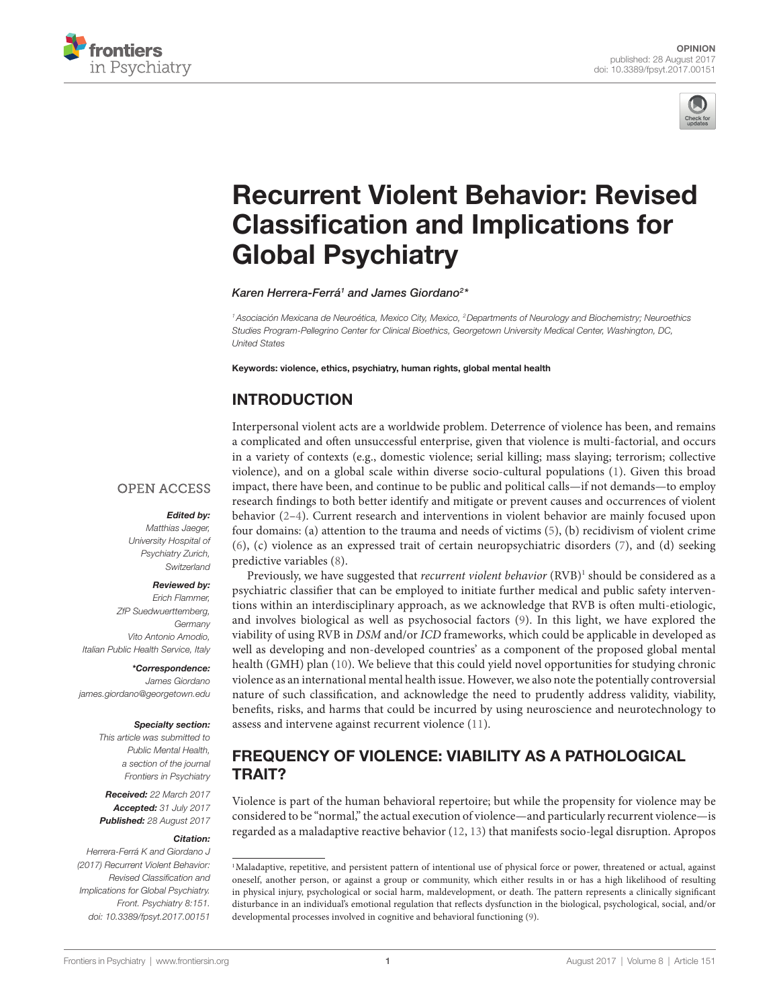



# Recurrent Violent Behavior: Revised **Classification and Implications for** Global Psychiatry

*Karen Herrera-Ferrá1 and James Giordano2 \**

*1Asociación Mexicana de Neuroética, Mexico City, Mexico, 2Departments of Neurology and Biochemistry; Neuroethics Studies Program-Pellegrino Center for Clinical Bioethics, Georgetown University Medical Center, Washington, DC, United States*

Keywords: violence, ethics, psychiatry, human rights, global mental health

# INTRODUCTION

Interpersonal violent acts are a worldwide problem. Deterrence of violence has been, and remains a complicated and ofen unsuccessful enterprise, given that violence is multi-factorial, and occurs in a variety of contexts (e.g., domestic violence; serial killing; mass slaying; terrorism; collective violence), and on a global scale within diverse socio-cultural populations (1). Given this broad impact, there have been, and continue to be public and political calls—if not demands—to employ research fndings to both better identify and mitigate or prevent causes and occurrences of violent behavior (2–4). Current research and interventions in violent behavior are mainly focused upon four domains: (a) attention to the trauma and needs of victims (5), (b) recidivism of violent crime (6), (c) violence as an expressed trait of certain neuropsychiatric disorders (7), and (d) seeking predictive variables (8).

### **OPEN ACCESS**

#### *Edited by:*

*Matthias Jaeger, University Hospital of Psychiatry Zurich, Switzerland*

#### *Reviewed by:*

*Erich Flammer, ZfP Suedwuerttemberg, Germany Vito Antonio Amodio, Italian Public Health Service, Italy*

*\*Correspondence: James Giordano james.giordano@georgetown.edu*

#### *Specialty section:*

*This article was submitted to Public Mental Health, a section of the journal Frontiers in Psychiatry*

*Received: 22 March 2017 Accepted: 31 July 2017 Published: 28 August 2017*

#### *Citation:*

*Herrera-Ferrá K and Giordano J (2017) Recurrent Violent Behavior: Revised Classi*f*cation and Implications for Global Psychiatry. Front. Psychiatry 8:151. doi: 10.3389/fpsyt.2017.00151*

Previously, we have suggested that *recurrent violent behavior* (RVB)<sup>1</sup> should be considered as a psychiatric classifer that can be employed to initiate further medical and public safety interventions within an interdisciplinary approach, as we acknowledge that RVB is ofen multi-etiologic, and involves biological as well as psychosocial factors (9). In this light, we have explored the viability of using RVB in *DSM* and/or *ICD* frameworks, which could be applicable in developed as well as developing and non-developed countries' as a component of the proposed global mental health (GMH) plan (10). We believe that this could yield novel opportunities for studying chronic violence as an international mental health issue. However, we also note the potentially controversial nature of such classifcation, and acknowledge the need to prudently address validity, viability, benefts, risks, and harms that could be incurred by using neuroscience and neurotechnology to assess and intervene against recurrent violence (11).

# FREQUENCY OF VIOLENCE: VIABILITY AS A PATHOLOGICAL TRAIT?

Violence is part of the human behavioral repertoire; but while the propensity for violence may be considered to be "normal," the actual execution of violence—and particularly recurrent violence—is regarded as a maladaptive reactive behavior (12, 13) that manifests socio-legal disruption. Apropos

<sup>1</sup>Maladaptive, repetitive, and persistent pattern of intentional use of physical force or power, threatened or actual, against oneself, another person, or against a group or community, which either results in or has a high likelihood of resulting in physical injury, psychological or social harm, maldevelopment, or death. The pattern represents a clinically significant disturbance in an individual's emotional regulation that refects dysfunction in the biological, psychological, social, and/or developmental processes involved in cognitive and behavioral functioning (9).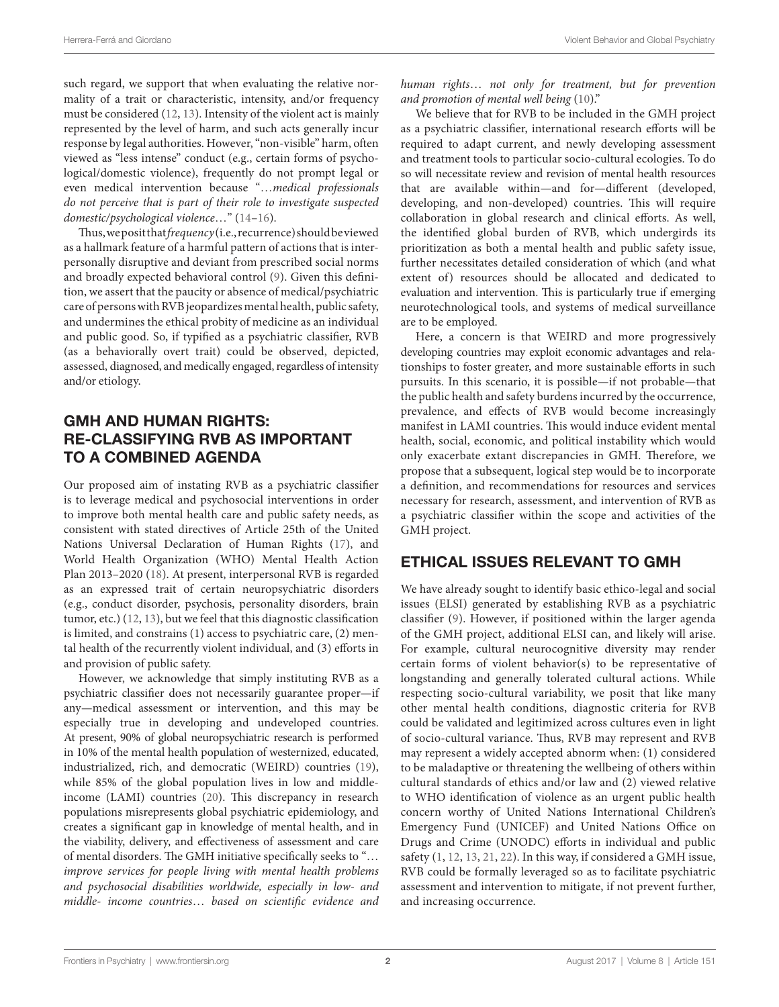such regard, we support that when evaluating the relative normality of a trait or characteristic, intensity, and/or frequency must be considered (12, 13). Intensity of the violent act is mainly represented by the level of harm, and such acts generally incur response by legal authorities. However, "non-visible" harm, ofen viewed as "less intense" conduct (e.g., certain forms of psychological/domestic violence), frequently do not prompt legal or even medical intervention because "…*medical professionals do not perceive that is part of their role to investigate suspected domestic/psychological violence*…" (14–16).

Thus, we posit that *frequency* (i.e., recurrence) should be viewed as a hallmark feature of a harmful pattern of actions that is interpersonally disruptive and deviant from prescribed social norms and broadly expected behavioral control (9). Given this defnition, we assert that the paucity or absence of medical/psychiatric care of persons with RVB jeopardizes mental health, public safety, and undermines the ethical probity of medicine as an individual and public good. So, if typifed as a psychiatric classifer, RVB (as a behaviorally overt trait) could be observed, depicted, assessed, diagnosed, and medically engaged, regardless of intensity and/or etiology.

# GMH AND HUMAN RIGHTS: RE-CLASSIFYING RVB AS IMPORTANT TO A COMBINED AGENDA

Our proposed aim of instating RVB as a psychiatric classifer is to leverage medical and psychosocial interventions in order to improve both mental health care and public safety needs, as consistent with stated directives of Article 25th of the United Nations Universal Declaration of Human Rights (17), and World Health Organization (WHO) Mental Health Action Plan 2013–2020 (18). At present, interpersonal RVB is regarded as an expressed trait of certain neuropsychiatric disorders (e.g., conduct disorder, psychosis, personality disorders, brain tumor, etc.) (12, 13), but we feel that this diagnostic classifcation is limited, and constrains (1) access to psychiatric care, (2) mental health of the recurrently violent individual, and (3) eforts in and provision of public safety.

However, we acknowledge that simply instituting RVB as a psychiatric classifer does not necessarily guarantee proper—if any—medical assessment or intervention, and this may be especially true in developing and undeveloped countries. At present, 90% of global neuropsychiatric research is performed in 10% of the mental health population of westernized, educated, industrialized, rich, and democratic (WEIRD) countries (19), while 85% of the global population lives in low and middleincome (LAMI) countries (20). This discrepancy in research populations misrepresents global psychiatric epidemiology, and creates a signifcant gap in knowledge of mental health, and in the viability, delivery, and efectiveness of assessment and care of mental disorders. The GMH initiative specifically seeks to "... *improve services for people living with mental health problems and psychosocial disabilities worldwide, especially in low- and middle- income countries*… *based on scienti*f*c evidence and*  *human rights*… *not only for treatment, but for prevention and promotion of mental well being* (10)."

We believe that for RVB to be included in the GMH project as a psychiatric classifer, international research eforts will be required to adapt current, and newly developing assessment and treatment tools to particular socio-cultural ecologies. To do so will necessitate review and revision of mental health resources that are available within—and for—diferent (developed, developing, and non-developed) countries. This will require collaboration in global research and clinical efforts. As well, the identifed global burden of RVB, which undergirds its prioritization as both a mental health and public safety issue, further necessitates detailed consideration of which (and what extent of) resources should be allocated and dedicated to evaluation and intervention. This is particularly true if emerging neurotechnological tools, and systems of medical surveillance are to be employed.

Here, a concern is that WEIRD and more progressively developing countries may exploit economic advantages and relationships to foster greater, and more sustainable efforts in such pursuits. In this scenario, it is possible—if not probable—that the public health and safety burdens incurred by the occurrence, prevalence, and efects of RVB would become increasingly manifest in LAMI countries. This would induce evident mental health, social, economic, and political instability which would only exacerbate extant discrepancies in GMH. Therefore, we propose that a subsequent, logical step would be to incorporate a defnition, and recommendations for resources and services necessary for research, assessment, and intervention of RVB as a psychiatric classifer within the scope and activities of the GMH project.

# ETHICAL ISSUES RELEVANT TO GMH

We have already sought to identify basic ethico-legal and social issues (ELSI) generated by establishing RVB as a psychiatric classifer (9). However, if positioned within the larger agenda of the GMH project, additional ELSI can, and likely will arise. For example, cultural neurocognitive diversity may render certain forms of violent behavior(s) to be representative of longstanding and generally tolerated cultural actions. While respecting socio-cultural variability, we posit that like many other mental health conditions, diagnostic criteria for RVB could be validated and legitimized across cultures even in light of socio-cultural variance. Thus, RVB may represent and RVB may represent a widely accepted abnorm when: (1) considered to be maladaptive or threatening the wellbeing of others within cultural standards of ethics and/or law and (2) viewed relative to WHO identifcation of violence as an urgent public health concern worthy of United Nations International Children's Emergency Fund (UNICEF) and United Nations Office on Drugs and Crime (UNODC) efforts in individual and public safety (1, 12, 13, 21, 22). In this way, if considered a GMH issue, RVB could be formally leveraged so as to facilitate psychiatric assessment and intervention to mitigate, if not prevent further, and increasing occurrence.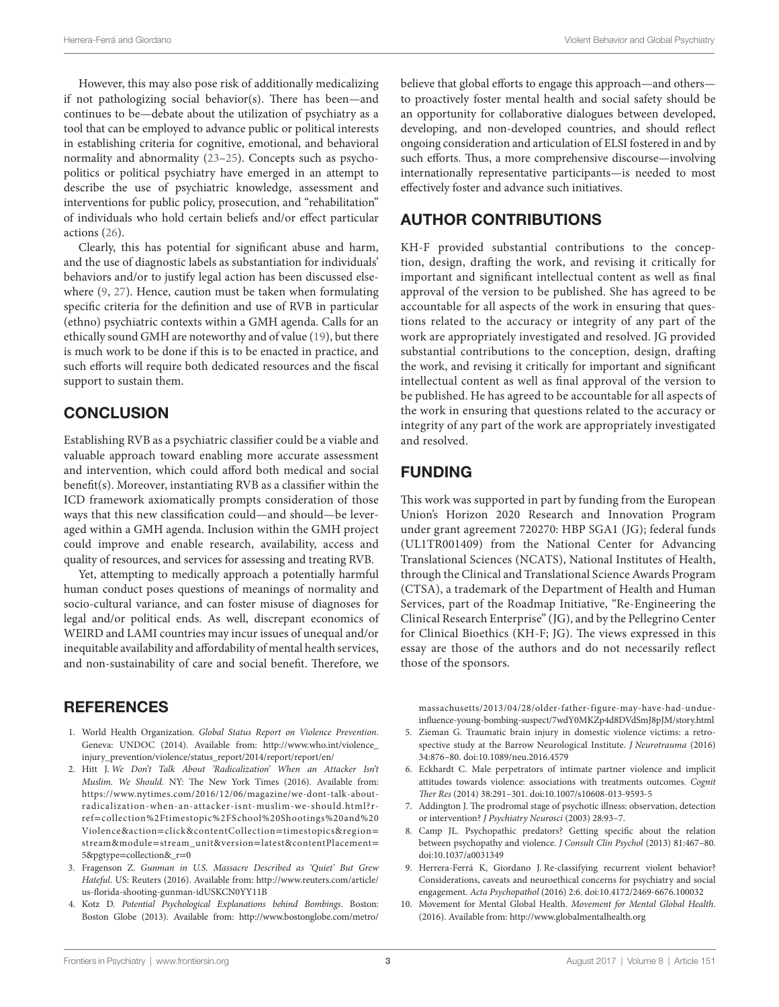However, this may also pose risk of additionally medicalizing if not pathologizing social behavior(s). There has been—and continues to be—debate about the utilization of psychiatry as a tool that can be employed to advance public or political interests in establishing criteria for cognitive, emotional, and behavioral normality and abnormality (23–25). Concepts such as psychopolitics or political psychiatry have emerged in an attempt to describe the use of psychiatric knowledge, assessment and interventions for public policy, prosecution, and "rehabilitation" of individuals who hold certain beliefs and/or efect particular actions (26).

Clearly, this has potential for signifcant abuse and harm, and the use of diagnostic labels as substantiation for individuals' behaviors and/or to justify legal action has been discussed elsewhere (9, 27). Hence, caution must be taken when formulating specifc criteria for the defnition and use of RVB in particular (ethno) psychiatric contexts within a GMH agenda. Calls for an ethically sound GMH are noteworthy and of value (19), but there is much work to be done if this is to be enacted in practice, and such efforts will require both dedicated resources and the fiscal support to sustain them.

## **CONCLUSION**

Establishing RVB as a psychiatric classifer could be a viable and valuable approach toward enabling more accurate assessment and intervention, which could aford both medical and social beneft(s). Moreover, instantiating RVB as a classifer within the ICD framework axiomatically prompts consideration of those ways that this new classifcation could—and should—be leveraged within a GMH agenda. Inclusion within the GMH project could improve and enable research, availability, access and quality of resources, and services for assessing and treating RVB.

Yet, attempting to medically approach a potentially harmful human conduct poses questions of meanings of normality and socio-cultural variance, and can foster misuse of diagnoses for legal and/or political ends. As well, discrepant economics of WEIRD and LAMI countries may incur issues of unequal and/or inequitable availability and afordability of mental health services, and non-sustainability of care and social benefit. Therefore, we

## **REFERENCES**

- 1. World Health Organization. *Global Status Report on Violence Prevention*. Geneva: UNDOC (2014). Available from: http://www.who.int/violence\_ injury\_prevention/violence/status\_report/2014/report/report/en/
- 2. Hitt J. *We Don't Talk About 'Radicalization' When an Attacker Isn't Muslim. We Should. NY: The New York Times (2016). Available from:* https://www.nytimes.com/2016/12/06/magazine/we-dont-talk-aboutradicalization-when-an-attacker-isnt-muslim-we-should.html?rref=collection%2Ftimestopic%2FSchool%20Shootings%20and%20 Violence&action=click&contentCollection=timestopics&region= stream&module=stream\_unit&version=latest&contentPlacement= 5&pgtype=collection&\_r=0
- 3. Fragenson Z. *Gunman in U.S. Massacre Described as 'Quiet' But Grew Hateful*. US: Reuters (2016). Available from: http://www.reuters.com/article/ us-forida-shooting-gunman-idUSKCN0YY11B
- 4. Kotz D. *Potential Psychological Explanations behind Bombings*. Boston: Boston Globe (2013). Available from: http://www.bostonglobe.com/metro/

believe that global eforts to engage this approach—and others to proactively foster mental health and social safety should be an opportunity for collaborative dialogues between developed, developing, and non-developed countries, and should refect ongoing consideration and articulation of ELSI fostered in and by such efforts. Thus, a more comprehensive discourse—involving internationally representative participants—is needed to most efectively foster and advance such initiatives.

## AUTHOR CONTRIBUTIONS

KH-F provided substantial contributions to the conception, design, drafing the work, and revising it critically for important and signifcant intellectual content as well as fnal approval of the version to be published. She has agreed to be accountable for all aspects of the work in ensuring that questions related to the accuracy or integrity of any part of the work are appropriately investigated and resolved. JG provided substantial contributions to the conception, design, drafing the work, and revising it critically for important and signifcant intellectual content as well as fnal approval of the version to be published. He has agreed to be accountable for all aspects of the work in ensuring that questions related to the accuracy or integrity of any part of the work are appropriately investigated and resolved.

### FUNDING

This work was supported in part by funding from the European Union's Horizon 2020 Research and Innovation Program under grant agreement 720270: HBP SGA1 (JG); federal funds (UL1TR001409) from the National Center for Advancing Translational Sciences (NCATS), National Institutes of Health, through the Clinical and Translational Science Awards Program (CTSA), a trademark of the Department of Health and Human Services, part of the Roadmap Initiative, "Re-Engineering the Clinical Research Enterprise" (JG), and by the Pellegrino Center for Clinical Bioethics (KH-F; JG). The views expressed in this essay are those of the authors and do not necessarily refect those of the sponsors.

massachusetts/2013/04/28/older-father-figure-may-have-had-undueinfuence-young-bombing-suspect/7wdY0MKZp4d8DVdSmJ8pJM/story.html

- 5. Zieman G. Traumatic brain injury in domestic violence victims: a retrospective study at the Barrow Neurological Institute. *J Neurotrauma* (2016) 34:876–80. doi:10.1089/neu.2016.4579
- 6. Eckhardt C. Male perpetrators of intimate partner violence and implicit attitudes towards violence: associations with treatments outcomes. *Cognit*  T*er Res* (2014) 38:291–301. doi:10.1007/s10608-013-9593-5
- 7. Addington J. The prodromal stage of psychotic illness: observation, detection or intervention? *J Psychiatry Neurosci* (2003) 28:93–7.
- 8. Camp JL. Psychopathic predators? Getting specifc about the relation between psychopathy and violence. *J Consult Clin Psychol* (2013) 81:467–80. doi:10.1037/a0031349
- 9. Herrera-Ferrá K, Giordano J. Re-classifying recurrent violent behavior? Considerations, caveats and neuroethical concerns for psychiatry and social engagement. *Acta Psychopathol* (2016) 2:6. doi:10.4172/2469-6676.100032
- 10. Movement for Mental Global Health. *Movement for Mental Global Health*. (2016). Available from: http://www.globalmentalhealth.org